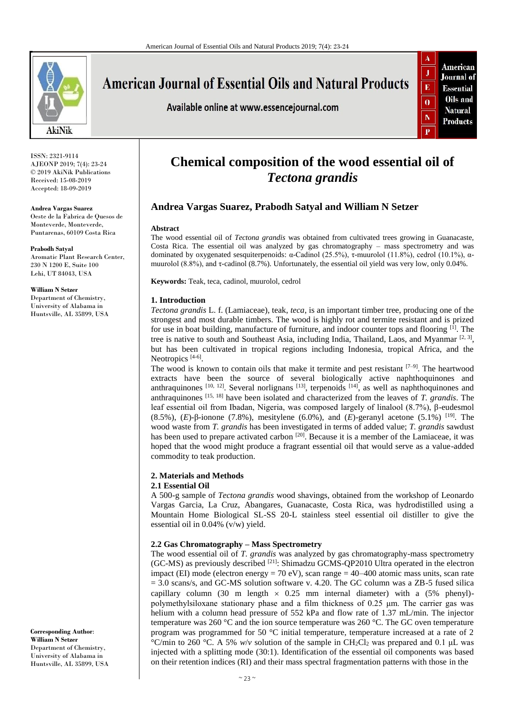

**American Journal of Essential Oils and Natural Products** 

Available online at www.essencejournal.com



ISSN: 2321-9114 AJEONP 2019; 7(4): 23-24 © 2019 AkiNik Publications Received: 15-08-2019 Accepted: 18-09-2019

**Andrea Vargas Suarez** Oeste de la Fabrica de Quesos de Monteverde, Monteverde, Puntarenas, 60109 Costa Rica

**Prabodh Satyal** Aromatic Plant Research Center, 230 N 1200 E, Suite 100 Lehi, UT 84043, USA

**William N Setzer** Department of Chemistry, University of Alabama in Huntsville, AL 35899, USA

**Corresponding Author**: **William N Setzer** Department of Chemistry, University of Alabama in Huntsville, AL 35899, USA

# **Chemical composition of the wood essential oil of**  *Tectona grandis*

# **Andrea Vargas Suarez, Prabodh Satyal and William N Setzer**

#### **Abstract**

The wood essential oil of *Tectona grandis* was obtained from cultivated trees growing in Guanacaste, Costa Rica. The essential oil was analyzed by gas chromatography – mass spectrometry and was dominated by oxygenated sesquiterpenoids: α-Cadinol (25.5%), τ-muurolol (11.8%), cedrol (10.1%), αmuurolol (8.8%), and τ-cadinol (8.7%). Unfortunately, the essential oil yield was very low, only 0.04%.

**Keywords:** Teak, teca, cadinol, muurolol, cedrol

## **1. Introduction**

*Tectona grandis* L. f. (Lamiaceae), teak, *teca*, is an important timber tree, producing one of the strongest and most durable timbers. The wood is highly rot and termite resistant and is prized for use in boat building, manufacture of furniture, and indoor counter tops and flooring [1]. The tree is native to south and Southeast Asia, including India, Thailand, Laos, and Myanmar<sup>[2, 3]</sup>, but has been cultivated in tropical regions including Indonesia, tropical Africa, and the Neotropics<sup>[4-6]</sup>.

The wood is known to contain oils that make it termite and pest resistant  $[7-9]$ . The heartwood extracts have been the source of several biologically active naphthoquinones and anthraquinones  $[10, 12]$ . Several norlignans  $[13]$ , terpenoids  $[14]$ , as well as naphthoquinones and anthraquinones [15, 18] have been isolated and characterized from the leaves of *T. grandis*. The leaf essential oil from Ibadan, Nigeria, was composed largely of linalool (8.7%), β-eudesmol (8.5%), (*E*)-β-ionone (7.8%), mesitylene (6.0%), and (*E*)-geranyl acetone (5.1%) [19] . The wood waste from *T. grandis* has been investigated in terms of added value; *T. grandis* sawdust has been used to prepare activated carbon <sup>[20]</sup>. Because it is a member of the Lamiaceae, it was hoped that the wood might produce a fragrant essential oil that would serve as a value-added commodity to teak production.

## **2. Materials and Methods**

## **2.1 Essential Oil**

A 500-g sample of *Tectona grandis* wood shavings, obtained from the workshop of Leonardo Vargas Garcia, La Cruz, Abangares, Guanacaste, Costa Rica, was hydrodistilled using a Mountain Home Biological SL-SS 20-L stainless steel essential oil distiller to give the essential oil in 0.04% (v/w) yield.

## **2.2 Gas Chromatography – Mass Spectrometry**

The wood essential oil of *T. grandis* was analyzed by gas chromatography-mass spectrometry (GC-MS) as previously described <sup>[21]</sup>: Shimadzu GCMS-QP2010 Ultra operated in the electron impact (EI) mode (electron energy = 70 eV), scan range =  $40-400$  atomic mass units, scan rate  $= 3.0$  scans/s, and GC-MS solution software v. 4.20. The GC column was a ZB-5 fused silica capillary column (30 m length  $\times$  0.25 mm internal diameter) with a (5% phenyl)polymethylsiloxane stationary phase and a film thickness of 0.25 μm. The carrier gas was helium with a column head pressure of 552 kPa and flow rate of 1.37 mL/min. The injector temperature was 260 °C and the ion source temperature was 260 °C. The GC oven temperature program was programmed for 50 °C initial temperature, temperature increased at a rate of 2 °C/min to 260 °C. A 5%  $w/v$  solution of the sample in CH<sub>2</sub>Cl<sub>2</sub> was prepared and 0.1 µL was injected with a splitting mode (30:1). Identification of the essential oil components was based on their retention indices (RI) and their mass spectral fragmentation patterns with those in the